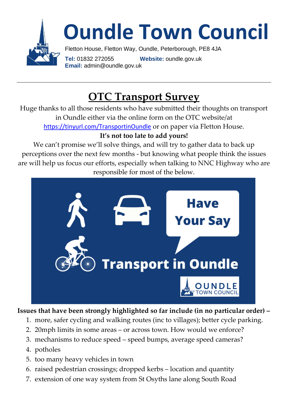

# **Oundle Town Council**

Fletton House, Fletton Way, Oundle, Peterborough, PE8 4JA **Tel:** 01832 272055 **Website:** oundle.gov.uk **Email:** admin@oundle.gov.uk

## **OTC Transport Survey**

Huge thanks to all those residents who have submitted their thoughts on transport in Oundle either via the online form on the OTC website/at <https://tinyurl.com/TransportinOundle> or on paper via Fletton House.

#### **It's not too late to add yours!**

We can't promise we'll solve things, and will try to gather data to back up perceptions over the next few months - but knowing what people think the issues are will help us focus our efforts, especially when talking to NNC Highway who are responsible for most of the below.



#### **Issues that have been strongly highlighted so far include (in no particular order) –**

- 1. more, safer cycling and walking routes (inc to villages); better cycle parking.
- 2. 20mph limits in some areas or across town. How would we enforce?
- 3. mechanisms to reduce speed speed bumps, average speed cameras?
- 4. potholes
- 5. too many heavy vehicles in town
- 6. raised pedestrian crossings; dropped kerbs location and quantity
- 7. extension of one way system from St Osyths lane along South Road